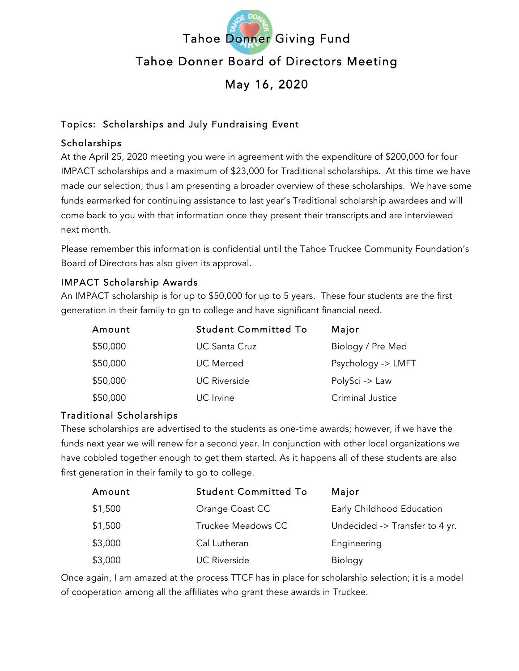

# Topics: Scholarships and July Fundraising Event

## Scholarships

At the April 25, 2020 meeting you were in agreement with the expenditure of \$200,000 for four IMPACT scholarships and a maximum of \$23,000 for Traditional scholarships. At this time we have made our selection; thus I am presenting a broader overview of these scholarships. We have some funds earmarked for continuing assistance to last year's Traditional scholarship awardees and will come back to you with that information once they present their transcripts and are interviewed next month.

Please remember this information is confidential until the Tahoe Truckee Community Foundation's Board of Directors has also given its approval.

## IMPACT Scholarship Awards

An IMPACT scholarship is for up to \$50,000 for up to 5 years. These four students are the first generation in their family to go to college and have significant financial need.

| Amount   | <b>Student Committed To</b> | Major              |
|----------|-----------------------------|--------------------|
| \$50,000 | UC Santa Cruz               | Biology / Pre Med  |
| \$50,000 | <b>UC</b> Merced            | Psychology -> LMFT |
| \$50,000 | <b>UC Riverside</b>         | PolySci -> Law     |
| \$50,000 | UC Irvine                   | Criminal Justice   |

#### Traditional Scholarships

These scholarships are advertised to the students as one-time awards; however, if we have the funds next year we will renew for a second year. In conjunction with other local organizations we have cobbled together enough to get them started. As it happens all of these students are also first generation in their family to go to college.

| Amount  | <b>Student Committed To</b> | Major                          |
|---------|-----------------------------|--------------------------------|
| \$1,500 | Orange Coast CC             | Early Childhood Education      |
| \$1,500 | Truckee Meadows CC          | Undecided -> Transfer to 4 yr. |
| \$3,000 | Cal Lutheran                | Engineering                    |
| \$3,000 | <b>UC Riverside</b>         | <b>Biology</b>                 |

Once again, I am amazed at the process TTCF has in place for scholarship selection; it is a model of cooperation among all the affiliates who grant these awards in Truckee.